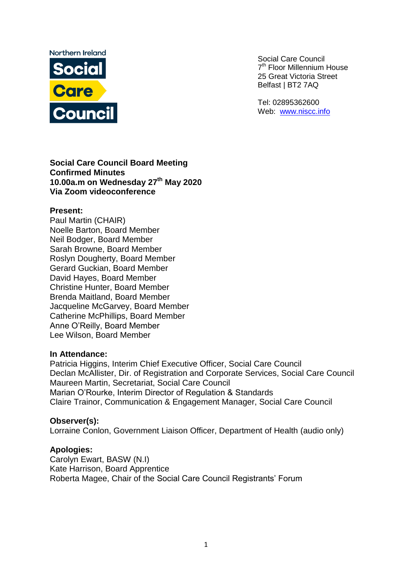

Social Care Council 7<sup>th</sup> Floor Millennium House 25 Great Victoria Street Belfast | BT2 7AQ

Tel: 02895362600 Web: [www.niscc.info](http://www.niscc.info/)

#### **Social Care Council Board Meeting Confirmed Minutes 10.00a.m on Wednesday 27th May 2020 Via Zoom videoconference**

#### **Present:**

Paul Martin (CHAIR) Noelle Barton, Board Member Neil Bodger, Board Member Sarah Browne, Board Member Roslyn Dougherty, Board Member Gerard Guckian, Board Member David Hayes, Board Member Christine Hunter, Board Member Brenda Maitland, Board Member Jacqueline McGarvey, Board Member Catherine McPhillips, Board Member Anne O'Reilly, Board Member Lee Wilson, Board Member

#### **In Attendance:**

Patricia Higgins, Interim Chief Executive Officer, Social Care Council Declan McAllister, Dir. of Registration and Corporate Services, Social Care Council Maureen Martin, Secretariat, Social Care Council Marian O'Rourke, Interim Director of Regulation & Standards Claire Trainor, Communication & Engagement Manager, Social Care Council

#### **Observer(s):**

Lorraine Conlon, Government Liaison Officer, Department of Health (audio only)

#### **Apologies:**

Carolyn Ewart, BASW (N.I) Kate Harrison, Board Apprentice Roberta Magee, Chair of the Social Care Council Registrants' Forum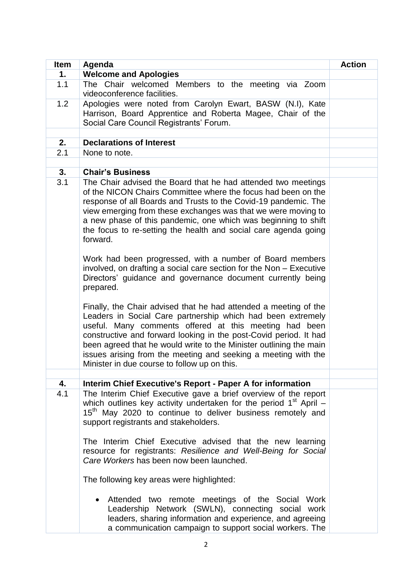| <b>Item</b> | Agenda                                                                                                                                                                                                                                                                                                                                                                                                                                                                                                                                                                                                                                                                                                                                                                                                                                                                                                                                                                                                                                       | <b>Action</b> |
|-------------|----------------------------------------------------------------------------------------------------------------------------------------------------------------------------------------------------------------------------------------------------------------------------------------------------------------------------------------------------------------------------------------------------------------------------------------------------------------------------------------------------------------------------------------------------------------------------------------------------------------------------------------------------------------------------------------------------------------------------------------------------------------------------------------------------------------------------------------------------------------------------------------------------------------------------------------------------------------------------------------------------------------------------------------------|---------------|
| 1.          | <b>Welcome and Apologies</b>                                                                                                                                                                                                                                                                                                                                                                                                                                                                                                                                                                                                                                                                                                                                                                                                                                                                                                                                                                                                                 |               |
| 1.1         | The Chair welcomed Members to the meeting via Zoom<br>videoconference facilities.                                                                                                                                                                                                                                                                                                                                                                                                                                                                                                                                                                                                                                                                                                                                                                                                                                                                                                                                                            |               |
| 1.2         | Apologies were noted from Carolyn Ewart, BASW (N.I), Kate<br>Harrison, Board Apprentice and Roberta Magee, Chair of the<br>Social Care Council Registrants' Forum.                                                                                                                                                                                                                                                                                                                                                                                                                                                                                                                                                                                                                                                                                                                                                                                                                                                                           |               |
|             |                                                                                                                                                                                                                                                                                                                                                                                                                                                                                                                                                                                                                                                                                                                                                                                                                                                                                                                                                                                                                                              |               |
| 2.          | <b>Declarations of Interest</b>                                                                                                                                                                                                                                                                                                                                                                                                                                                                                                                                                                                                                                                                                                                                                                                                                                                                                                                                                                                                              |               |
| 2.1         | None to note.                                                                                                                                                                                                                                                                                                                                                                                                                                                                                                                                                                                                                                                                                                                                                                                                                                                                                                                                                                                                                                |               |
| 3.          | <b>Chair's Business</b>                                                                                                                                                                                                                                                                                                                                                                                                                                                                                                                                                                                                                                                                                                                                                                                                                                                                                                                                                                                                                      |               |
| 3.1         | The Chair advised the Board that he had attended two meetings<br>of the NICON Chairs Committee where the focus had been on the<br>response of all Boards and Trusts to the Covid-19 pandemic. The<br>view emerging from these exchanges was that we were moving to<br>a new phase of this pandemic, one which was beginning to shift<br>the focus to re-setting the health and social care agenda going<br>forward.<br>Work had been progressed, with a number of Board members<br>involved, on drafting a social care section for the Non - Executive<br>Directors' guidance and governance document currently being<br>prepared.<br>Finally, the Chair advised that he had attended a meeting of the<br>Leaders in Social Care partnership which had been extremely<br>useful. Many comments offered at this meeting had been<br>constructive and forward looking in the post-Covid period. It had<br>been agreed that he would write to the Minister outlining the main<br>issues arising from the meeting and seeking a meeting with the |               |
|             | Minister in due course to follow up on this.                                                                                                                                                                                                                                                                                                                                                                                                                                                                                                                                                                                                                                                                                                                                                                                                                                                                                                                                                                                                 |               |
| 4.          | <b>Interim Chief Executive's Report - Paper A for information</b>                                                                                                                                                                                                                                                                                                                                                                                                                                                                                                                                                                                                                                                                                                                                                                                                                                                                                                                                                                            |               |
| 4.1         | The Interim Chief Executive gave a brief overview of the report<br>which outlines key activity undertaken for the period $1st$ April –<br>15 <sup>th</sup> May 2020 to continue to deliver business remotely and<br>support registrants and stakeholders.                                                                                                                                                                                                                                                                                                                                                                                                                                                                                                                                                                                                                                                                                                                                                                                    |               |
|             | The Interim Chief Executive advised that the new learning<br>resource for registrants: Resilience and Well-Being for Social<br>Care Workers has been now been launched.                                                                                                                                                                                                                                                                                                                                                                                                                                                                                                                                                                                                                                                                                                                                                                                                                                                                      |               |
|             | The following key areas were highlighted:                                                                                                                                                                                                                                                                                                                                                                                                                                                                                                                                                                                                                                                                                                                                                                                                                                                                                                                                                                                                    |               |
|             | Attended two remote meetings of the Social Work<br>Leadership Network (SWLN), connecting social work<br>leaders, sharing information and experience, and agreeing<br>a communication campaign to support social workers. The                                                                                                                                                                                                                                                                                                                                                                                                                                                                                                                                                                                                                                                                                                                                                                                                                 |               |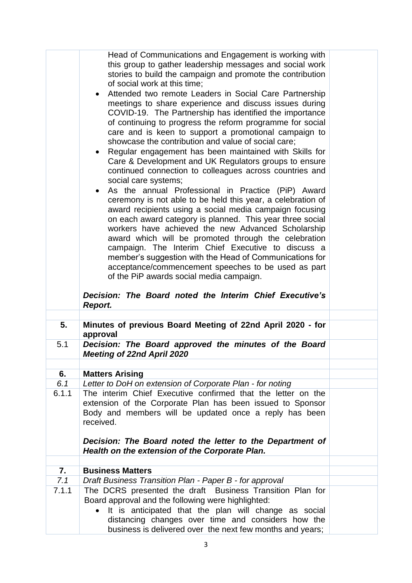|       | Head of Communications and Engagement is working with<br>this group to gather leadership messages and social work<br>stories to build the campaign and promote the contribution<br>of social work at this time;<br>Attended two remote Leaders in Social Care Partnership<br>meetings to share experience and discuss issues during<br>COVID-19. The Partnership has identified the importance<br>of continuing to progress the reform programme for social<br>care and is keen to support a promotional campaign to<br>showcase the contribution and value of social care;<br>Regular engagement has been maintained with Skills for<br>Care & Development and UK Regulators groups to ensure<br>continued connection to colleagues across countries and<br>social care systems;<br>As the annual Professional in Practice (PiP) Award<br>$\bullet$<br>ceremony is not able to be held this year, a celebration of<br>award recipients using a social media campaign focusing<br>on each award category is planned. This year three social<br>workers have achieved the new Advanced Scholarship<br>award which will be promoted through the celebration<br>campaign. The Interim Chief Executive to discuss a<br>member's suggestion with the Head of Communications for<br>acceptance/commencement speeches to be used as part<br>of the PiP awards social media campaign.<br>Decision: The Board noted the Interim Chief Executive's<br>Report. |  |
|-------|-----------------------------------------------------------------------------------------------------------------------------------------------------------------------------------------------------------------------------------------------------------------------------------------------------------------------------------------------------------------------------------------------------------------------------------------------------------------------------------------------------------------------------------------------------------------------------------------------------------------------------------------------------------------------------------------------------------------------------------------------------------------------------------------------------------------------------------------------------------------------------------------------------------------------------------------------------------------------------------------------------------------------------------------------------------------------------------------------------------------------------------------------------------------------------------------------------------------------------------------------------------------------------------------------------------------------------------------------------------------------------------------------------------------------------------------------------|--|
| 5.    | Minutes of previous Board Meeting of 22nd April 2020 - for                                                                                                                                                                                                                                                                                                                                                                                                                                                                                                                                                                                                                                                                                                                                                                                                                                                                                                                                                                                                                                                                                                                                                                                                                                                                                                                                                                                          |  |
| 5.1   | approval<br>Decision: The Board approved the minutes of the Board                                                                                                                                                                                                                                                                                                                                                                                                                                                                                                                                                                                                                                                                                                                                                                                                                                                                                                                                                                                                                                                                                                                                                                                                                                                                                                                                                                                   |  |
|       | <b>Meeting of 22nd April 2020</b>                                                                                                                                                                                                                                                                                                                                                                                                                                                                                                                                                                                                                                                                                                                                                                                                                                                                                                                                                                                                                                                                                                                                                                                                                                                                                                                                                                                                                   |  |
|       |                                                                                                                                                                                                                                                                                                                                                                                                                                                                                                                                                                                                                                                                                                                                                                                                                                                                                                                                                                                                                                                                                                                                                                                                                                                                                                                                                                                                                                                     |  |
| 6.    | <b>Matters Arising</b>                                                                                                                                                                                                                                                                                                                                                                                                                                                                                                                                                                                                                                                                                                                                                                                                                                                                                                                                                                                                                                                                                                                                                                                                                                                                                                                                                                                                                              |  |
| 6.1   | Letter to DoH on extension of Corporate Plan - for noting                                                                                                                                                                                                                                                                                                                                                                                                                                                                                                                                                                                                                                                                                                                                                                                                                                                                                                                                                                                                                                                                                                                                                                                                                                                                                                                                                                                           |  |
| 6.1.1 | The interim Chief Executive confirmed that the letter on the<br>extension of the Corporate Plan has been issued to Sponsor<br>Body and members will be updated once a reply has been<br>received.                                                                                                                                                                                                                                                                                                                                                                                                                                                                                                                                                                                                                                                                                                                                                                                                                                                                                                                                                                                                                                                                                                                                                                                                                                                   |  |
|       | Decision: The Board noted the letter to the Department of<br>Health on the extension of the Corporate Plan.                                                                                                                                                                                                                                                                                                                                                                                                                                                                                                                                                                                                                                                                                                                                                                                                                                                                                                                                                                                                                                                                                                                                                                                                                                                                                                                                         |  |
| 7.    | <b>Business Matters</b>                                                                                                                                                                                                                                                                                                                                                                                                                                                                                                                                                                                                                                                                                                                                                                                                                                                                                                                                                                                                                                                                                                                                                                                                                                                                                                                                                                                                                             |  |
| 7.1   | Draft Business Transition Plan - Paper B - for approval                                                                                                                                                                                                                                                                                                                                                                                                                                                                                                                                                                                                                                                                                                                                                                                                                                                                                                                                                                                                                                                                                                                                                                                                                                                                                                                                                                                             |  |
| 7.1.1 | The DCRS presented the draft Business Transition Plan for                                                                                                                                                                                                                                                                                                                                                                                                                                                                                                                                                                                                                                                                                                                                                                                                                                                                                                                                                                                                                                                                                                                                                                                                                                                                                                                                                                                           |  |
|       | Board approval and the following were highlighted:<br>It is anticipated that the plan will change as social<br>$\bullet$<br>distancing changes over time and considers how the<br>business is delivered over the next few months and years;                                                                                                                                                                                                                                                                                                                                                                                                                                                                                                                                                                                                                                                                                                                                                                                                                                                                                                                                                                                                                                                                                                                                                                                                         |  |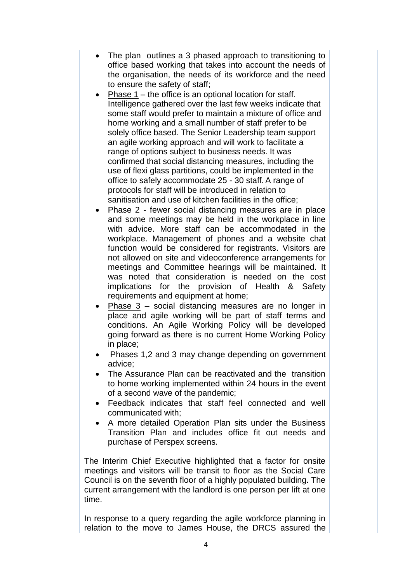|           | The plan outlines a 3 phased approach to transitioning to<br>office based working that takes into account the needs of<br>the organisation, the needs of its workforce and the need<br>to ensure the safety of staff;                                                                       |  |
|-----------|---------------------------------------------------------------------------------------------------------------------------------------------------------------------------------------------------------------------------------------------------------------------------------------------|--|
|           | Phase $1$ – the office is an optional location for staff.<br>Intelligence gathered over the last few weeks indicate that<br>some staff would prefer to maintain a mixture of office and<br>home working and a small number of staff prefer to be                                            |  |
|           | solely office based. The Senior Leadership team support<br>an agile working approach and will work to facilitate a<br>range of options subject to business needs. It was<br>confirmed that social distancing measures, including the                                                        |  |
|           | use of flexi glass partitions, could be implemented in the<br>office to safely accommodate 25 - 30 staff. A range of<br>protocols for staff will be introduced in relation to<br>sanitisation and use of kitchen facilities in the office;                                                  |  |
|           | Phase $2$ - fewer social distancing measures are in place<br>and some meetings may be held in the workplace in line<br>with advice. More staff can be accommodated in the<br>workplace. Management of phones and a website chat                                                             |  |
|           | function would be considered for registrants. Visitors are<br>not allowed on site and videoconference arrangements for<br>meetings and Committee hearings will be maintained. It<br>was noted that consideration is needed on the cost<br>implications for the provision of Health & Safety |  |
|           | requirements and equipment at home;<br>Phase $3$ – social distancing measures are no longer in<br>place and agile working will be part of staff terms and<br>conditions. An Agile Working Policy will be developed<br>going forward as there is no current Home Working Policy              |  |
|           | in place;<br>Phases 1,2 and 3 may change depending on government<br>advice;                                                                                                                                                                                                                 |  |
|           | The Assurance Plan can be reactivated and the transition<br>to home working implemented within 24 hours in the event<br>of a second wave of the pandemic;                                                                                                                                   |  |
| $\bullet$ | Feedback indicates that staff feel connected and well<br>communicated with;<br>A more detailed Operation Plan sits under the Business                                                                                                                                                       |  |
|           | Transition Plan and includes office fit out needs and<br>purchase of Perspex screens.                                                                                                                                                                                                       |  |
| time.     | The Interim Chief Executive highlighted that a factor for onsite<br>meetings and visitors will be transit to floor as the Social Care<br>Council is on the seventh floor of a highly populated building. The<br>current arrangement with the landlord is one person per lift at one         |  |
|           | In response to a query regarding the agile workforce planning in<br>relation to the move to James House, the DRCS assured the                                                                                                                                                               |  |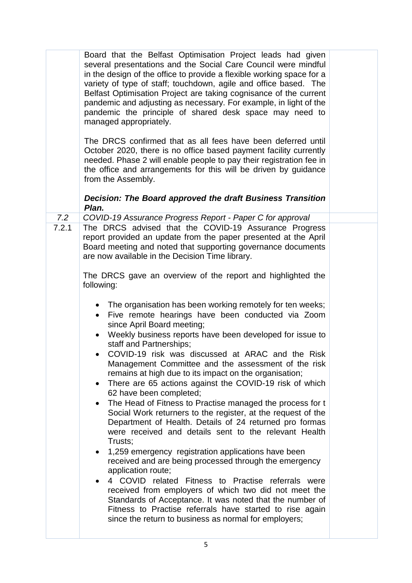|       | Board that the Belfast Optimisation Project leads had given<br>several presentations and the Social Care Council were mindful<br>in the design of the office to provide a flexible working space for a<br>variety of type of staff; touchdown, agile and office based. The<br>Belfast Optimisation Project are taking cognisance of the current<br>pandemic and adjusting as necessary. For example, in light of the<br>pandemic the principle of shared desk space may need to<br>managed appropriately.                                                                                                                                                                                                                                                                                                                                                                                                                                                                                                                                                                                                                                                                                                                     |  |
|-------|-------------------------------------------------------------------------------------------------------------------------------------------------------------------------------------------------------------------------------------------------------------------------------------------------------------------------------------------------------------------------------------------------------------------------------------------------------------------------------------------------------------------------------------------------------------------------------------------------------------------------------------------------------------------------------------------------------------------------------------------------------------------------------------------------------------------------------------------------------------------------------------------------------------------------------------------------------------------------------------------------------------------------------------------------------------------------------------------------------------------------------------------------------------------------------------------------------------------------------|--|
|       | The DRCS confirmed that as all fees have been deferred until<br>October 2020, there is no office based payment facility currently<br>needed. Phase 2 will enable people to pay their registration fee in<br>the office and arrangements for this will be driven by guidance<br>from the Assembly.                                                                                                                                                                                                                                                                                                                                                                                                                                                                                                                                                                                                                                                                                                                                                                                                                                                                                                                             |  |
|       | Decision: The Board approved the draft Business Transition<br>Plan.                                                                                                                                                                                                                                                                                                                                                                                                                                                                                                                                                                                                                                                                                                                                                                                                                                                                                                                                                                                                                                                                                                                                                           |  |
| 7.2   | COVID-19 Assurance Progress Report - Paper C for approval                                                                                                                                                                                                                                                                                                                                                                                                                                                                                                                                                                                                                                                                                                                                                                                                                                                                                                                                                                                                                                                                                                                                                                     |  |
| 7.2.1 | The DRCS advised that the COVID-19 Assurance Progress<br>report provided an update from the paper presented at the April<br>Board meeting and noted that supporting governance documents<br>are now available in the Decision Time library.                                                                                                                                                                                                                                                                                                                                                                                                                                                                                                                                                                                                                                                                                                                                                                                                                                                                                                                                                                                   |  |
|       | The DRCS gave an overview of the report and highlighted the<br>following:                                                                                                                                                                                                                                                                                                                                                                                                                                                                                                                                                                                                                                                                                                                                                                                                                                                                                                                                                                                                                                                                                                                                                     |  |
|       | • The organisation has been working remotely for ten weeks;<br>Five remote hearings have been conducted via Zoom<br>$\bullet$<br>since April Board meeting;<br>Weekly business reports have been developed for issue to<br>staff and Partnerships;<br>COVID-19 risk was discussed at ARAC and the Risk<br>Management Committee and the assessment of the risk<br>remains at high due to its impact on the organisation;<br>There are 65 actions against the COVID-19 risk of which<br>$\bullet$<br>62 have been completed;<br>The Head of Fitness to Practise managed the process for t<br>Social Work returners to the register, at the request of the<br>Department of Health. Details of 24 returned pro formas<br>were received and details sent to the relevant Health<br>Trusts;<br>1,259 emergency registration applications have been<br>received and are being processed through the emergency<br>application route;<br>4 COVID related Fitness to Practise referrals were<br>received from employers of which two did not meet the<br>Standards of Acceptance. It was noted that the number of<br>Fitness to Practise referrals have started to rise again<br>since the return to business as normal for employers; |  |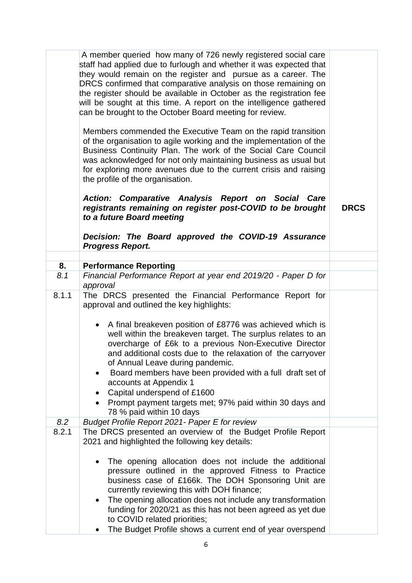|       | A member queried how many of 726 newly registered social care<br>staff had applied due to furlough and whether it was expected that<br>they would remain on the register and pursue as a career. The<br>DRCS confirmed that comparative analysis on those remaining on<br>the register should be available in October as the registration fee<br>will be sought at this time. A report on the intelligence gathered<br>can be brought to the October Board meeting for review.                       |             |
|-------|------------------------------------------------------------------------------------------------------------------------------------------------------------------------------------------------------------------------------------------------------------------------------------------------------------------------------------------------------------------------------------------------------------------------------------------------------------------------------------------------------|-------------|
|       | Members commended the Executive Team on the rapid transition<br>of the organisation to agile working and the implementation of the<br>Business Continuity Plan. The work of the Social Care Council<br>was acknowledged for not only maintaining business as usual but<br>for exploring more avenues due to the current crisis and raising<br>the profile of the organisation.                                                                                                                       |             |
|       | Action: Comparative Analysis Report on Social Care<br>registrants remaining on register post-COVID to be brought<br>to a future Board meeting<br>Decision: The Board approved the COVID-19 Assurance<br><b>Progress Report.</b>                                                                                                                                                                                                                                                                      | <b>DRCS</b> |
|       |                                                                                                                                                                                                                                                                                                                                                                                                                                                                                                      |             |
| 8.    | <b>Performance Reporting</b>                                                                                                                                                                                                                                                                                                                                                                                                                                                                         |             |
| 8.1   | Financial Performance Report at year end 2019/20 - Paper D for<br>approval                                                                                                                                                                                                                                                                                                                                                                                                                           |             |
| 8.1.1 | The DRCS presented the Financial Performance Report for<br>approval and outlined the key highlights:                                                                                                                                                                                                                                                                                                                                                                                                 |             |
|       | • A final breakeven position of £8776 was achieved which is<br>well within the breakeven target. The surplus relates to an<br>overcharge of £6k to a previous Non-Executive Director<br>and additional costs due to the relaxation of the carryover<br>of Annual Leave during pandemic.<br>Board members have been provided with a full draft set of<br>accounts at Appendix 1<br>Capital underspend of £1600<br>Prompt payment targets met; 97% paid within 30 days and<br>78 % paid within 10 days |             |
| 8.2   | Budget Profile Report 2021 - Paper E for review                                                                                                                                                                                                                                                                                                                                                                                                                                                      |             |
| 8.2.1 | The DRCS presented an overview of the Budget Profile Report<br>2021 and highlighted the following key details:                                                                                                                                                                                                                                                                                                                                                                                       |             |
|       | The opening allocation does not include the additional<br>$\bullet$<br>pressure outlined in the approved Fitness to Practice<br>business case of £166k. The DOH Sponsoring Unit are<br>currently reviewing this with DOH finance;<br>The opening allocation does not include any transformation<br>$\bullet$<br>funding for 2020/21 as this has not been agreed as yet due<br>to COVID related priorities;<br>The Budget Profile shows a current end of year overspend                               |             |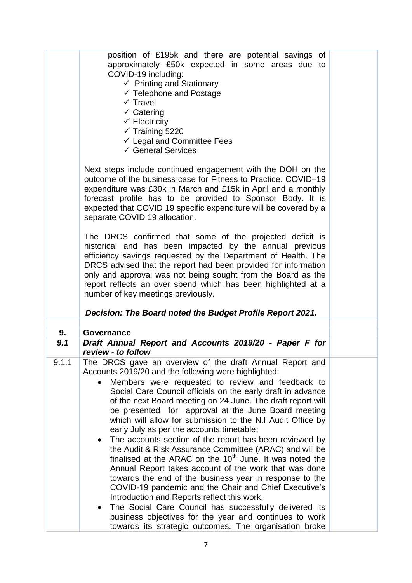|       | position of £195k and there are potential savings of<br>approximately £50k expected in some areas due to<br>COVID-19 including:<br>$\checkmark$ Printing and Stationary<br>$\checkmark$ Telephone and Postage<br>$\checkmark$ Travel<br>$\checkmark$ Catering<br>$\checkmark$ Electricity<br>$\checkmark$ Training 5220<br>$\checkmark$ Legal and Committee Fees<br>$\checkmark$ General Services<br>Next steps include continued engagement with the DOH on the<br>outcome of the business case for Fitness to Practice. COVID-19<br>expenditure was £30k in March and £15k in April and a monthly<br>forecast profile has to be provided to Sponsor Body. It is<br>expected that COVID 19 specific expenditure will be covered by a<br>separate COVID 19 allocation. |  |
|-------|------------------------------------------------------------------------------------------------------------------------------------------------------------------------------------------------------------------------------------------------------------------------------------------------------------------------------------------------------------------------------------------------------------------------------------------------------------------------------------------------------------------------------------------------------------------------------------------------------------------------------------------------------------------------------------------------------------------------------------------------------------------------|--|
|       | The DRCS confirmed that some of the projected deficit is<br>historical and has been impacted by the annual previous<br>efficiency savings requested by the Department of Health. The<br>DRCS advised that the report had been provided for information<br>only and approval was not being sought from the Board as the<br>report reflects an over spend which has been highlighted at a<br>number of key meetings previously.<br>Decision: The Board noted the Budget Profile Report 2021.                                                                                                                                                                                                                                                                             |  |
|       |                                                                                                                                                                                                                                                                                                                                                                                                                                                                                                                                                                                                                                                                                                                                                                        |  |
| 9.    | Governance                                                                                                                                                                                                                                                                                                                                                                                                                                                                                                                                                                                                                                                                                                                                                             |  |
| 9.1   | Draft Annual Report and Accounts 2019/20 - Paper F for<br>review - to follow                                                                                                                                                                                                                                                                                                                                                                                                                                                                                                                                                                                                                                                                                           |  |
| 9.1.1 | The DRCS gave an overview of the draft Annual Report and<br>Accounts 2019/20 and the following were highlighted:<br>Members were requested to review and feedback to<br>Social Care Council officials on the early draft in advance<br>of the next Board meeting on 24 June. The draft report will<br>be presented for approval at the June Board meeting<br>which will allow for submission to the N.I Audit Office by<br>early July as per the accounts timetable;                                                                                                                                                                                                                                                                                                   |  |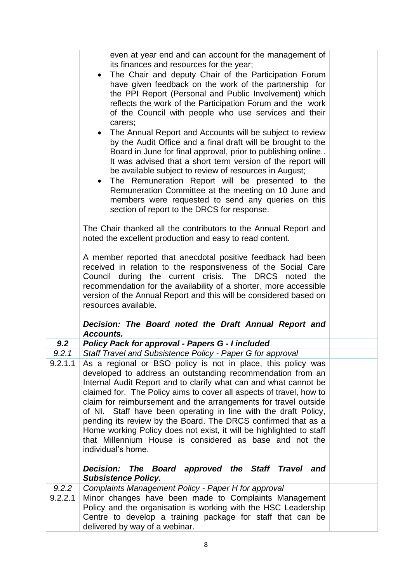|  |         | even at year end and can account for the management of<br>its finances and resources for the year;<br>The Chair and deputy Chair of the Participation Forum<br>$\bullet$<br>have given feedback on the work of the partnership for<br>the PPI Report (Personal and Public Involvement) which<br>reflects the work of the Participation Forum and the work<br>of the Council with people who use services and their<br>carers;<br>The Annual Report and Accounts will be subject to review<br>$\bullet$<br>by the Audit Office and a final draft will be brought to the<br>Board in June for final approval, prior to publishing online<br>It was advised that a short term version of the report will<br>be available subject to review of resources in August;<br>The Remuneration Report will be presented to the<br>$\bullet$<br>Remuneration Committee at the meeting on 10 June and<br>members were requested to send any queries on this<br>section of report to the DRCS for response.<br>The Chair thanked all the contributors to the Annual Report and<br>noted the excellent production and easy to read content.<br>A member reported that anecdotal positive feedback had been<br>received in relation to the responsiveness of the Social Care<br>Council during the current crisis. The DRCS noted the<br>recommendation for the availability of a shorter, more accessible<br>version of the Annual Report and this will be considered based on<br>resources available.<br>Decision: The Board noted the Draft Annual Report and |  |
|--|---------|--------------------------------------------------------------------------------------------------------------------------------------------------------------------------------------------------------------------------------------------------------------------------------------------------------------------------------------------------------------------------------------------------------------------------------------------------------------------------------------------------------------------------------------------------------------------------------------------------------------------------------------------------------------------------------------------------------------------------------------------------------------------------------------------------------------------------------------------------------------------------------------------------------------------------------------------------------------------------------------------------------------------------------------------------------------------------------------------------------------------------------------------------------------------------------------------------------------------------------------------------------------------------------------------------------------------------------------------------------------------------------------------------------------------------------------------------------------------------------------------------------------------------------------------------|--|
|  | 9.2     | Accounts.                                                                                                                                                                                                                                                                                                                                                                                                                                                                                                                                                                                                                                                                                                                                                                                                                                                                                                                                                                                                                                                                                                                                                                                                                                                                                                                                                                                                                                                                                                                                        |  |
|  | 9.2.1   | <b>Policy Pack for approval - Papers G - I included</b><br>Staff Travel and Subsistence Policy - Paper G for approval                                                                                                                                                                                                                                                                                                                                                                                                                                                                                                                                                                                                                                                                                                                                                                                                                                                                                                                                                                                                                                                                                                                                                                                                                                                                                                                                                                                                                            |  |
|  | 9.2.1.1 | As a regional or BSO policy is not in place, this policy was<br>developed to address an outstanding recommendation from an<br>Internal Audit Report and to clarify what can and what cannot be<br>claimed for. The Policy aims to cover all aspects of travel, how to<br>claim for reimbursement and the arrangements for travel outside<br>of NI. Staff have been operating in line with the draft Policy,<br>pending its review by the Board. The DRCS confirmed that as a<br>Home working Policy does not exist, it will be highlighted to staff<br>that Millennium House is considered as base and not the<br>individual's home.<br>Decision: The Board approved the Staff Travel and                                                                                                                                                                                                                                                                                                                                                                                                                                                                                                                                                                                                                                                                                                                                                                                                                                                        |  |
|  |         | <b>Subsistence Policy.</b>                                                                                                                                                                                                                                                                                                                                                                                                                                                                                                                                                                                                                                                                                                                                                                                                                                                                                                                                                                                                                                                                                                                                                                                                                                                                                                                                                                                                                                                                                                                       |  |
|  | 9.2.2   | Complaints Management Policy - Paper H for approval                                                                                                                                                                                                                                                                                                                                                                                                                                                                                                                                                                                                                                                                                                                                                                                                                                                                                                                                                                                                                                                                                                                                                                                                                                                                                                                                                                                                                                                                                              |  |
|  | 9.2.2.1 | Minor changes have been made to Complaints Management<br>Policy and the organisation is working with the HSC Leadership<br>Centre to develop a training package for staff that can be<br>delivered by way of a webinar.                                                                                                                                                                                                                                                                                                                                                                                                                                                                                                                                                                                                                                                                                                                                                                                                                                                                                                                                                                                                                                                                                                                                                                                                                                                                                                                          |  |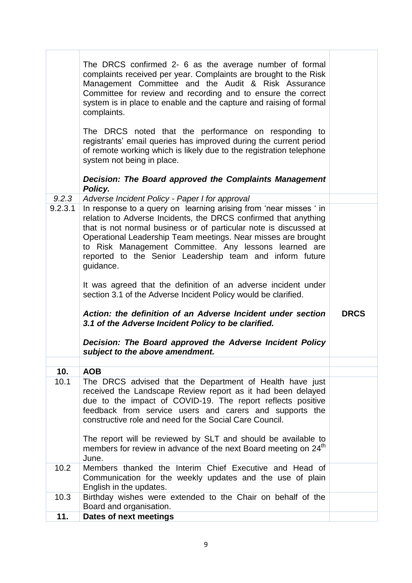|             | The DRCS confirmed 2- 6 as the average number of formal<br>complaints received per year. Complaints are brought to the Risk<br>Management Committee and the Audit & Risk Assurance<br>Committee for review and recording and to ensure the correct<br>system is in place to enable and the capture and raising of formal<br>complaints.<br>The DRCS noted that the performance on responding to<br>registrants' email queries has improved during the current period<br>of remote working which is likely due to the registration telephone<br>system not being in place.<br>Decision: The Board approved the Complaints Management<br>Policy. |             |
|-------------|------------------------------------------------------------------------------------------------------------------------------------------------------------------------------------------------------------------------------------------------------------------------------------------------------------------------------------------------------------------------------------------------------------------------------------------------------------------------------------------------------------------------------------------------------------------------------------------------------------------------------------------------|-------------|
| 9.2.3       | Adverse Incident Policy - Paper I for approval                                                                                                                                                                                                                                                                                                                                                                                                                                                                                                                                                                                                 |             |
| 9.2.3.1     | In response to a query on learning arising from 'near misses ' in<br>relation to Adverse Incidents, the DRCS confirmed that anything<br>that is not normal business or of particular note is discussed at<br>Operational Leadership Team meetings. Near misses are brought<br>to Risk Management Committee. Any lessons learned are<br>reported to the Senior Leadership team and inform future<br>guidance.<br>It was agreed that the definition of an adverse incident under<br>section 3.1 of the Adverse Incident Policy would be clarified.                                                                                               |             |
|             | Action: the definition of an Adverse Incident under section<br>3.1 of the Adverse Incident Policy to be clarified.<br>Decision: The Board approved the Adverse Incident Policy                                                                                                                                                                                                                                                                                                                                                                                                                                                                 | <b>DRCS</b> |
|             | subject to the above amendment.                                                                                                                                                                                                                                                                                                                                                                                                                                                                                                                                                                                                                |             |
| 10.         | <b>AOB</b>                                                                                                                                                                                                                                                                                                                                                                                                                                                                                                                                                                                                                                     |             |
| 10.1        | The DRCS advised that the Department of Health have just<br>received the Landscape Review report as it had been delayed<br>due to the impact of COVID-19. The report reflects positive<br>feedback from service users and carers and supports the<br>constructive role and need for the Social Care Council.                                                                                                                                                                                                                                                                                                                                   |             |
|             | The report will be reviewed by SLT and should be available to<br>members for review in advance of the next Board meeting on 24 <sup>th</sup><br>June.                                                                                                                                                                                                                                                                                                                                                                                                                                                                                          |             |
|             |                                                                                                                                                                                                                                                                                                                                                                                                                                                                                                                                                                                                                                                |             |
| 10.2        | Members thanked the Interim Chief Executive and Head of<br>Communication for the weekly updates and the use of plain<br>English in the updates.                                                                                                                                                                                                                                                                                                                                                                                                                                                                                                |             |
| 10.3<br>11. | Birthday wishes were extended to the Chair on behalf of the<br>Board and organisation.<br>Dates of next meetings                                                                                                                                                                                                                                                                                                                                                                                                                                                                                                                               |             |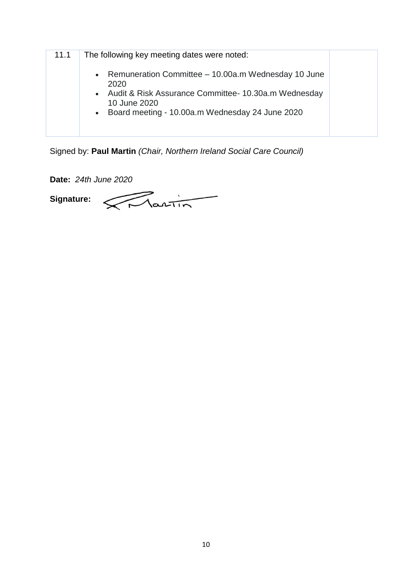| 11.1 | The following key meeting dates were noted:                                                                                                                                                  |  |
|------|----------------------------------------------------------------------------------------------------------------------------------------------------------------------------------------------|--|
|      | • Remuneration Committee – 10.00a.m Wednesday 10 June<br>2020<br>• Audit & Risk Assurance Committee- 10.30a.m Wednesday<br>10 June 2020<br>• Board meeting - 10.00a.m Wednesday 24 June 2020 |  |

Signed by: **Paul Martin** *(Chair, Northern Ireland Social Care Council)*

**Date:** *24th June 2020*

 $\sqrt{N_{\text{partin}}$ **Signature:**